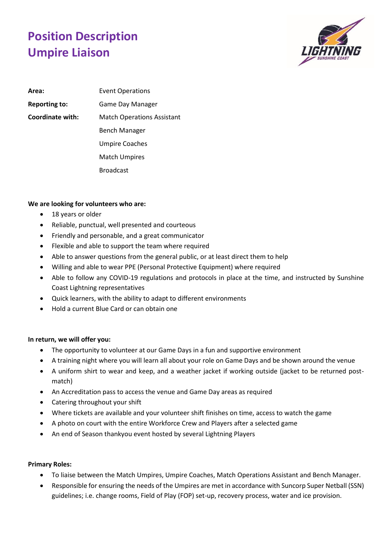## **Position Description Umpire Liaison**



Area: Event Operations **Reporting to:** Game Day Manager **Coordinate with:** Match Operations Assistant Bench Manager Umpire Coaches Match Umpires Broadcast

## **We are looking for volunteers who are:**

- 18 years or older
- Reliable, punctual, well presented and courteous
- Friendly and personable, and a great communicator
- Flexible and able to support the team where required
- Able to answer questions from the general public, or at least direct them to help
- Willing and able to wear PPE (Personal Protective Equipment) where required
- Able to follow any COVID-19 regulations and protocols in place at the time, and instructed by Sunshine Coast Lightning representatives
- Quick learners, with the ability to adapt to different environments
- Hold a current Blue Card or can obtain one

## **In return, we will offer you:**

- The opportunity to volunteer at our Game Days in a fun and supportive environment
- A training night where you will learn all about your role on Game Days and be shown around the venue
- A uniform shirt to wear and keep, and a weather jacket if working outside (jacket to be returned postmatch)
- An Accreditation pass to access the venue and Game Day areas as required
- Catering throughout your shift
- Where tickets are available and your volunteer shift finishes on time, access to watch the game
- A photo on court with the entire Workforce Crew and Players after a selected game
- An end of Season thankyou event hosted by several Lightning Players

## **Primary Roles:**

- To liaise between the Match Umpires, Umpire Coaches, Match Operations Assistant and Bench Manager.
- Responsible for ensuring the needs of the Umpires are met in accordance with Suncorp Super Netball (SSN) guidelines; i.e. change rooms, Field of Play (FOP) set-up, recovery process, water and ice provision.